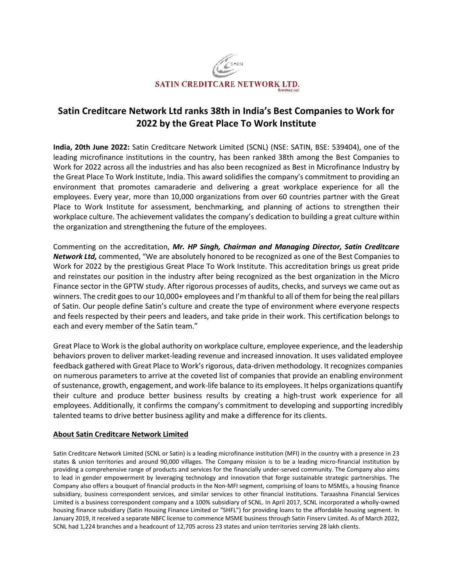

# **Satin Creditcare Network Ltd ranks 38th in India's Best Companies to Work for 2022 by the Great Place To Work Institute**

**India, 20th June 2022:** Satin Creditcare Network Limited (SCNL) (NSE: SATIN, BSE: 539404), one of the leading microfinance institutions in the country, has been ranked 38th among the Best Companies to Work for 2022 across all the industries and has also been recognized as Best in Microfinance Industry by the Great Place To Work Institute, India. This award solidifies the company's commitment to providing an environment that promotes camaraderie and delivering a great workplace experience for all the employees. Every year, more than 10,000 organizations from over 60 countries partner with the Great Place to Work Institute for assessment, benchmarking, and planning of actions to strengthen their workplace culture. The achievement validates the company's dedication to building a great culture within the organization and strengthening the future of the employees.

Commenting on the accreditation, *Mr. HP Singh, Chairman and Managing Director, Satin Creditcare Network Ltd,* commented, "We are absolutely honored to be recognized as one of the Best Companies to Work for 2022 by the prestigious Great Place To Work Institute. This accreditation brings us great pride and reinstates our position in the industry after being recognized as the best organization in the Micro Finance sector in the GPTW study. After rigorous processes of audits, checks, and surveys we came out as winners. The credit goes to our 10,000+ employees and I'm thankful to all of them for being the real pillars of Satin. Our people define Satin's culture and create the type of environment where everyone respects and feels respected by their peers and leaders, and take pride in their work. This certification belongs to each and every member of the Satin team."

Great Place to Work is the global authority on workplace culture, employee experience, and the leadership behaviors proven to deliver market-leading revenue and increased innovation. It uses validated employee feedback gathered with Great Place to Work's rigorous, data-driven methodology. It recognizes companies on numerous parameters to arrive at the coveted list of companies that provide an enabling environment of sustenance, growth, engagement, and work-life balance to its employees. It helps organizations quantify their culture and produce better business results by creating a high-trust work experience for all employees. Additionally, it confirms the company's commitment to developing and supporting incredibly talented teams to drive better business agility and make a difference for its clients.

## **About Satin Creditcare Network Limited**

Satin Creditcare Network Limited (SCNL or Satin) is a leading microfinance institution (MFI) in the country with a presence in 23 states & union territories and around 90,000 villages. The Company mission is to be a leading micro-financial institution by providing a comprehensive range of products and services for the financially under-served community. The Company also aims to lead in gender empowerment by leveraging technology and innovation that forge sustainable strategic partnerships. The Company also offers a bouquet of financial products in the Non‐MFI segment, comprising of loans to MSMEs, a housing finance subsidiary, business correspondent services, and similar services to other financial institutions. Taraashna Financial Services Limited is a business correspondent company and a 100% subsidiary of SCNL. In April 2017, SCNL incorporated a wholly-owned housing finance subsidiary (Satin Housing Finance Limited or "SHFL") for providing loans to the affordable housing segment. In January 2019, it received a separate NBFC license to commence MSME business through Satin Finserv Limited. As of March 2022, SCNL had 1,224 branches and a headcount of 12,705 across 23 states and union territories serving 28 lakh clients.